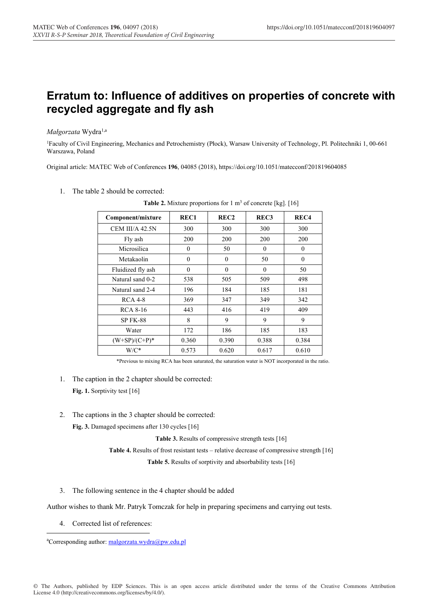## **Erratum to: Influence of additives on properties of concrete with recycled aggregate and fly ash**

## *Małgorzata* Wydra1,a

1Faculty of Civil Engineering, Mechanics and Petrochemistry (Płock), Warsaw University of Technology, Pl. Politechniki 1, 00-661 Warszawa, Poland

Original article: MATEC Web of Conferences **196**, 04085 (2018), https://doi.org/10.1051/matecconf/201819604085

1. The table 2 should be corrected:

| Component/mixture | REC1     | REC <sub>2</sub> | REC <sub>3</sub> | REC <sub>4</sub> |
|-------------------|----------|------------------|------------------|------------------|
| CEM III/A 42.5N   | 300      | 300              | 300              | 300              |
| Fly ash           | 200      | 200              | 200              | 200              |
| Microsilica       | $\theta$ | 50               | $\Omega$         | $\theta$         |
| Metakaolin        | $\theta$ | $\theta$         | 50               | $\theta$         |
| Fluidized fly ash | $\Omega$ | $\theta$         | $\Omega$         | 50               |
| Natural sand 0-2  | 538      | 505              | 509              | 498              |
| Natural sand 2-4  | 196      | 184              | 185              | 181              |
| <b>RCA 4-8</b>    | 369      | 347              | 349              | 342              |
| <b>RCA 8-16</b>   | 443      | 416              | 419              | 409              |
| <b>SP FK-88</b>   | 8        | 9                | 9                | 9                |
| Water             | 172      | 186              | 185              | 183              |
| $(W+SP)/(C+P)^*$  | 0.360    | 0.390            | 0.388            | 0.384            |
| W/C*              | 0.573    | 0.620            | 0.617            | 0.610            |

**Table 2.** Mixture proportions for 1 m<sup>3</sup> of concrete [kg]. [16]

\*Previous to mixing RCA has been saturated, the saturation water is NOT incorporated in the ratio.

- 1. The caption in the 2 chapter should be corrected: Fig. 1. Sorptivity test [16]
- 2. The captions in the 3 chapter should be corrected:

**Fig. 3.** Damaged specimens after 130 cycles [16]

Table 3. Results of compressive strength tests [16]

**Table 4.** Results of frost resistant tests – relative decrease of compressive strength [16]

**Table 5.** Results of sorptivity and absorbability tests [16]

3. The following sentence in the 4 chapter should be added

Author wishes to thank Mr. Patryk Tomczak for help in preparing specimens and carrying out tests.

4. Corrected list of references:

<u>.</u>

<sup>&</sup>lt;sup>a</sup>Corresponding author: malgorzata.wydra@pw.edu.pl